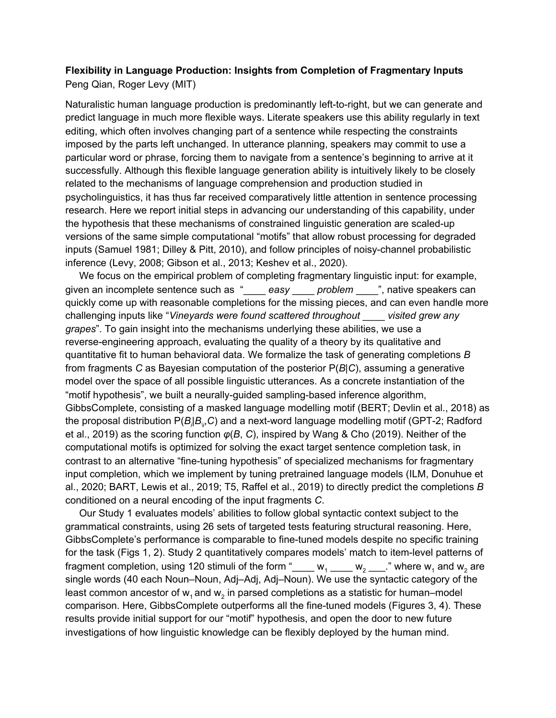## **Flexibility in Language Production: Insights from Completion of Fragmentary Inputs** Peng Qian, Roger Levy (MIT)

Naturalistic human language production is predominantly left-to-right, but we can generate and predict language in much more flexible ways. Literate speakers use this ability regularly in text editing, which often involves changing part of a sentence while respecting the constraints imposed by the parts left unchanged. In utterance planning, speakers may commit to use a particular word or phrase, forcing them to navigate from a sentence's beginning to arrive at it successfully. Although this flexible language generation ability is intuitively likely to be closely related to the mechanisms of language comprehension and production studied in psycholinguistics, it has thus far received comparatively little attention in sentence processing research. Here we report initial steps in advancing our understanding of this capability, under the hypothesis that these mechanisms of constrained linguistic generation are scaled-up versions of the same simple computational "motifs" that allow robust processing for degraded inputs (Samuel 1981; Dilley & Pitt, 2010), and follow principles of noisy-channel probabilistic inference (Levy, 2008; Gibson et al., 2013; Keshev et al., 2020).

We focus on the empirical problem of completing fragmentary linguistic input: for example, given an incomplete sentence such as "\_\_\_\_ *easy* \_\_\_\_ *problem* \_\_\_\_", native speakers can quickly come up with reasonable completions for the missing pieces, and can even handle more challenging inputs like "*Vineyards were found scattered throughout* \_\_\_\_ *visited grew any grapes*". To gain insight into the mechanisms underlying these abilities, we use a reverse-engineering approach, evaluating the quality of a theory by its qualitative and quantitative fit to human behavioral data. We formalize the task of generating completions *B* from fragments *C* as Bayesian computation of the posterior P(*B*|*C*), assuming a generative model over the space of all possible linguistic utterances. As a concrete instantiation of the "motif hypothesis", we built a neurally-guided sampling-based inference algorithm, GibbsComplete, consisting of a masked language modelling motif (BERT; Devlin et al., 2018) as the proposal distribution P(*B<sup>i</sup>* |*B\i* ,*C*) and a next-word language modelling motif (GPT-2; Radford et al., 2019) as the scoring function *φ*(*B*, *C*), inspired by Wang & Cho (2019). Neither of the computational motifs is optimized for solving the exact target sentence completion task, in contrast to an alternative "fine-tuning hypothesis" of specialized mechanisms for fragmentary input completion, which we implement by tuning pretrained language models (ILM, Donuhue et al., 2020; BART, Lewis et al., 2019; T5, Raffel et al., 2019) to directly predict the completions *B* conditioned on a neural encoding of the input fragments *C*.

Our Study 1 evaluates models' abilities to follow global syntactic context subject to the grammatical constraints, using 26 sets of targeted tests featuring structural reasoning. Here, GibbsComplete's performance is comparable to fine-tuned models despite no specific training for the task (Figs 1, 2). Study 2 quantitatively compares models' match to item-level patterns of fragment completion, using 120 stimuli of the form " $\mu_1 \mu_2 \mu_3 \mu_4 \mu_5 \mu_6$ " where w<sub>1</sub> and w<sub>2</sub> are single words (40 each Noun–Noun, Adj–Adj, Adj–Noun). We use the syntactic category of the least common ancestor of  $\mathsf{w}_{\text{\tiny{1}}}$ and  $\mathsf{w}_{\text{\tiny{2}}}$  in parsed completions as a statistic for human–model comparison. Here, GibbsComplete outperforms all the fine-tuned models (Figures 3, 4). These results provide initial support for our "motif" hypothesis, and open the door to new future investigations of how linguistic knowledge can be flexibly deployed by the human mind.